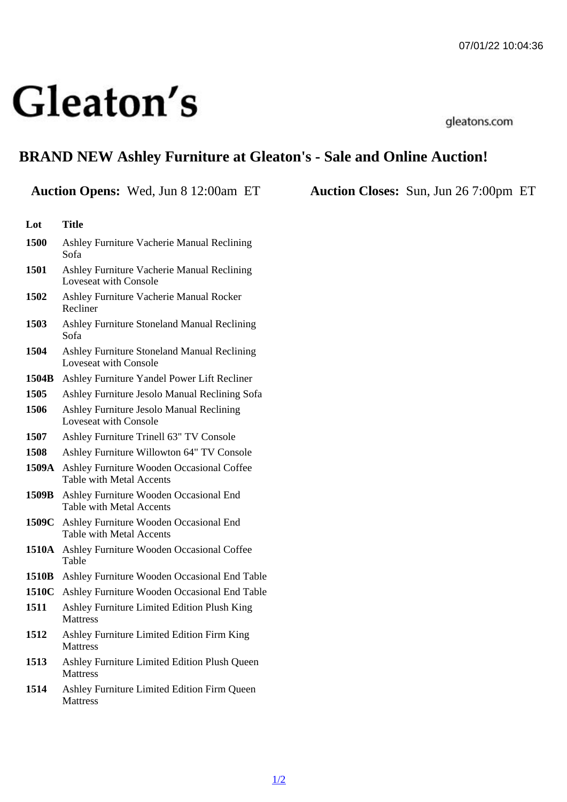## BRAND NEW Ashley Furniture at Gleaton's - Sale and Online Auction!

| Lot   | Title                                                                           |
|-------|---------------------------------------------------------------------------------|
| 1500  | Ashley Furniture Vacherie Manual Reclining<br>Sofa                              |
| 1501  | Ashley Furniture Vacherie Manual Reclining<br>Loveseat with Console             |
| 1502  | Ashley Furniture Vacherie Manual Rocker<br>Recliner                             |
| 1503  | Ashley Furniture Stoneland Manual Reclining<br>Sofa                             |
| 1504  | Ashley Furniture Stoneland Manual Reclining<br>Loveseat with Console            |
| 1504B | Ashley Furniture Yandel Power Lift Recliner                                     |
| 1505  | Ashley Furniture Jesolo Manual Reclining Sofa                                   |
| 1506  | Ashley Furniture Jesolo Manual Reclining<br>Loveseat with Console               |
| 1507  | Ashley Furniture Trinell 63" TV Console                                         |
| 1508  | Ashley Furniture Willowton 64" TV Console                                       |
|       | 1509A Ashley Furniture Wooden Occasional Coffee<br>Table with Metal Accents     |
|       | 1509B Ashley Furniture Wooden Occasional End<br><b>Table with Metal Accents</b> |
|       | 1509C Ashley Furniture Wooden Occasional End<br><b>Table with Metal Accents</b> |
|       | 1510A Ashley Furniture Wooden Occasional Coffee<br>Table                        |
|       | 1510B Ashley Furniture Wooden Occasional End Table                              |
|       | 1510C Ashley Furniture Wooden Occasional End Table                              |
| 1511  | Ashley Furniture Limited Edition Plush King<br>Mattress                         |
| 1512  | Ashley Furniture Limited Edition Firm King<br>Mattress                          |
| 1513  | Ashley Furniture Limited Edition Plush Queen<br>Mattress                        |
| 1514  | Ashley Furniture Limited Edition Firm Queen                                     |

**Mattress** 

Auction Opens: Wed, Jun 8 12:00am ET Auction Closes: Sun, Jun 26 7:00pm ET